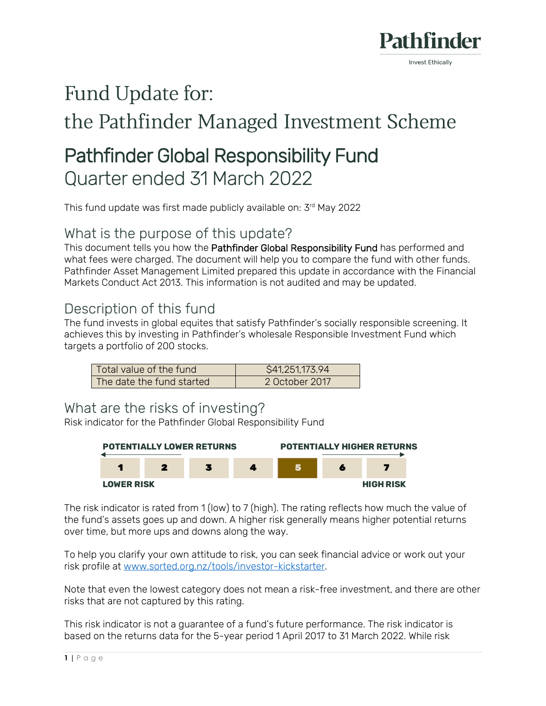

# Fund Update for:

# the Pathfinder Managed Investment Scheme

# Pathfinder Global Responsibility Fund Quarter ended 31 March 2022

This fund update was first made publicly available on: 3 rd May 2022

#### What is the purpose of this update?

This document tells you how the Pathfinder Global Responsibility Fund has performed and what fees were charged. The document will help you to compare the fund with other funds. Pathfinder Asset Management Limited prepared this update in accordance with the Financial Markets Conduct Act 2013. This information is not audited and may be updated.

## Description of this fund

The fund invests in global equites that satisfy Pathfinder's socially responsible screening. It achieves this by investing in Pathfinder's wholesale Responsible Investment Fund which targets a portfolio of 200 stocks.

| Total value of the fund   | \$41,251,173.94 |
|---------------------------|-----------------|
| The date the fund started | 2 October 2017  |

#### What are the risks of investing?

Risk indicator for the Pathfinder Global Responsibility Fund



The risk indicator is rated from 1 (low) to 7 (high). The rating reflects how much the value of the fund's assets goes up and down. A higher risk generally means higher potential returns over time, but more ups and downs along the way.

To help you clarify your own attitude to risk, you can seek financial advice or work out your risk profile at [www.sorted.org.nz/tools/investor-kickstarter.](http://www.sorted.org.nz/tools/investor-kickstarter)

Note that even the lowest category does not mean a risk-free investment, and there are other risks that are not captured by this rating.

This risk indicator is not a guarantee of a fund's future performance. The risk indicator is based on the returns data for the 5-year period 1 April 2017 to 31 March 2022. While risk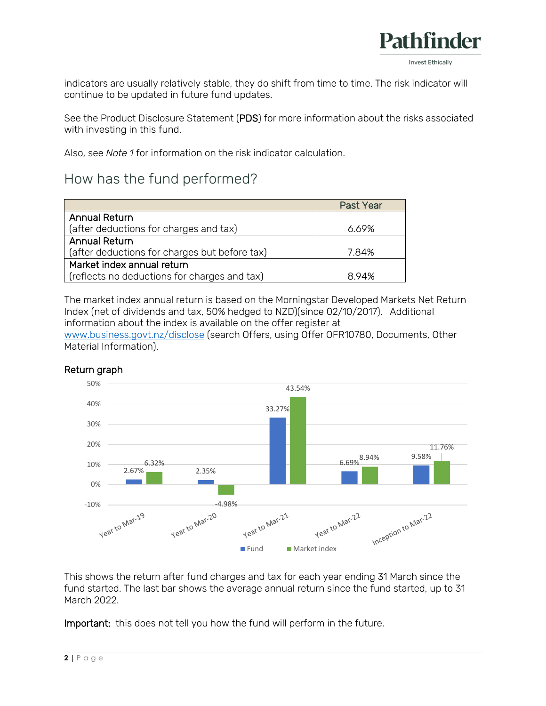

indicators are usually relatively stable, they do shift from time to time. The risk indicator will continue to be updated in future fund updates.

See the Product Disclosure Statement (PDS) for more information about the risks associated with investing in this fund.

Also, see *Note 1* for information on the risk indicator calculation.

## How has the fund performed?

|                                               | <b>Past Year</b> |
|-----------------------------------------------|------------------|
| <b>Annual Return</b>                          |                  |
| (after deductions for charges and tax)        | 6.69%            |
| <b>Annual Return</b>                          |                  |
| (after deductions for charges but before tax) | 7.84%            |
| Market index annual return                    |                  |
| (reflects no deductions for charges and tax)  | 894%             |

The market index annual return is based on the Morningstar Developed Markets Net Return Index (net of dividends and tax, 50% hedged to NZD)(since 02/10/2017). Additional information about the index is available on the offer register at [www.business.govt.nz/disclose](http://www.business.govt.nz/disclose) (search Offers, using Offer OFR10780, Documents, Other Material Information).



#### Return graph

This shows the return after fund charges and tax for each year ending 31 March since the fund started. The last bar shows the average annual return since the fund started, up to 31 March 2022.

Important: this does not tell you how the fund will perform in the future.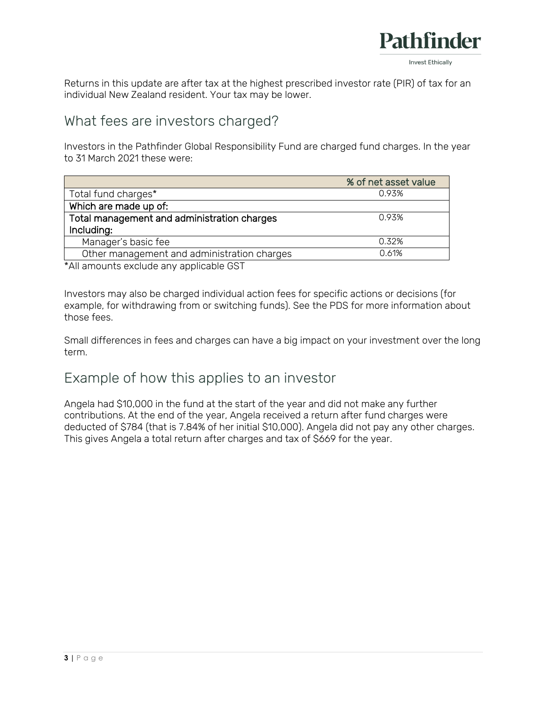

Returns in this update are after tax at the highest prescribed investor rate (PIR) of tax for an individual New Zealand resident. Your tax may be lower.

#### What fees are investors charged?

Investors in the Pathfinder Global Responsibility Fund are charged fund charges. In the year to 31 March 2021 these were:

|                                             | % of net asset value |
|---------------------------------------------|----------------------|
| Total fund charges*                         | 0.93%                |
| Which are made up of:                       |                      |
| Total management and administration charges | 0.93%                |
| Including:                                  |                      |
| Manager's basic fee                         | 0.32%                |
| Other management and administration charges | 0.61%                |

\*All amounts exclude any applicable GST

Investors may also be charged individual action fees for specific actions or decisions (for example, for withdrawing from or switching funds). See the PDS for more information about those fees.

Small differences in fees and charges can have a big impact on your investment over the long term.

## Example of how this applies to an investor

Angela had \$10,000 in the fund at the start of the year and did not make any further contributions. At the end of the year, Angela received a return after fund charges were deducted of \$784 (that is 7.84% of her initial \$10,000). Angela did not pay any other charges. This gives Angela a total return after charges and tax of \$669 for the year.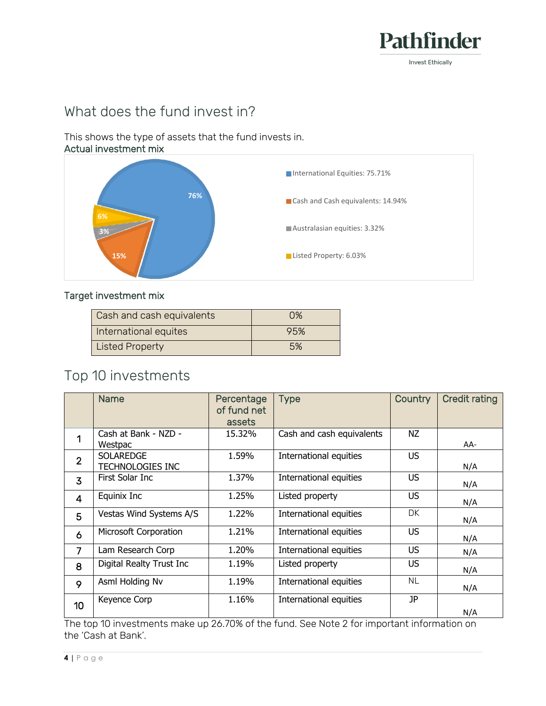

# What does the fund invest in?

This shows the type of assets that the fund invests in. Actual investment mix



#### Target investment mix

| Cash and cash equivalents | 0%  |
|---------------------------|-----|
| International equites     | 95% |
| <b>Listed Property</b>    | .5% |

## Top 10 investments

|                 | <b>Name</b>                                 | Percentage<br>of fund net<br>assets | <b>Type</b>               | Country   | <b>Credit rating</b> |
|-----------------|---------------------------------------------|-------------------------------------|---------------------------|-----------|----------------------|
|                 | Cash at Bank - NZD -<br>Westpac             | 15.32%                              | Cash and cash equivalents | NZ        | AA-                  |
| $\overline{2}$  | <b>SOLAREDGE</b><br><b>TECHNOLOGIES INC</b> | 1.59%                               | International equities    | <b>US</b> | N/A                  |
| 3               | First Solar Inc                             | 1.37%                               | International equities    | US.       | N/A                  |
| $\overline{4}$  | Equinix Inc                                 | 1.25%                               | Listed property           | <b>US</b> | N/A                  |
| 5               | Vestas Wind Systems A/S                     | 1.22%                               | International equities    | DK.       | N/A                  |
| 6               | Microsoft Corporation                       | 1.21%                               | International equities    | US.       | N/A                  |
| $\overline{7}$  | Lam Research Corp                           | 1.20%                               | International equities    | US.       | N/A                  |
| 8               | Digital Realty Trust Inc                    | 1.19%                               | Listed property           | US        | N/A                  |
| 9               | Asml Holding Nv                             | 1.19%                               | International equities    | <b>NL</b> | N/A                  |
| 10 <sup>1</sup> | Keyence Corp                                | 1.16%                               | International equities    | JP        | N/A                  |

The top 10 investments make up 26.70% of the fund. See Note 2 for important information on the 'Cash at Bank'.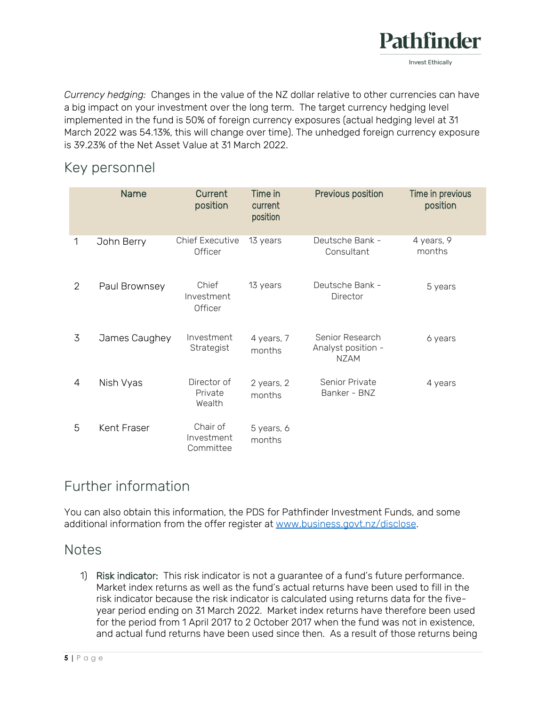

*Currency hedging:* Changes in the value of the NZ dollar relative to other currencies can have a big impact on your investment over the long term. The target currency hedging level implemented in the fund is 50% of foreign currency exposures (actual hedging level at 31 March 2022 was 54.13%, this will change over time). The unhedged foreign currency exposure is 39.23% of the Net Asset Value at 31 March 2022.

#### Key personnel

|   | <b>Name</b>   | Current<br>position                 | Time in<br>current<br>position | Previous position                                    | Time in previous<br>position |
|---|---------------|-------------------------------------|--------------------------------|------------------------------------------------------|------------------------------|
| 1 | John Berry    | <b>Chief Executive</b><br>Officer   | 13 years                       | Deutsche Bank -<br>Consultant                        | 4 years, 9<br>months         |
| 2 | Paul Brownsey | Chief<br>Investment<br>Officer      | 13 years                       | Deutsche Bank -<br>Director                          | 5 years                      |
| 3 | James Caughey | Investment<br>Strategist            | 4 years, 7<br>months           | Senior Research<br>Analyst position -<br><b>NZAM</b> | 6 years                      |
| 4 | Nish Vyas     | Director of<br>Private<br>Wealth    | 2 years, 2<br>months           | Senior Private<br>Banker - BNZ                       | 4 years                      |
| 5 | Kent Fraser   | Chair of<br>Investment<br>Committee | 5 years, 6<br>months           |                                                      |                              |

## Further information

You can also obtain this information, the PDS for Pathfinder Investment Funds, and some additional information from the offer register at [www.business.govt.nz/disclose.](http://www.business.govt.nz/disclose)

#### **Notes**

1) Risk indicator: This risk indicator is not a guarantee of a fund's future performance. Market index returns as well as the fund's actual returns have been used to fill in the risk indicator because the risk indicator is calculated using returns data for the fiveyear period ending on 31 March 2022. Market index returns have therefore been used for the period from 1 April 2017 to 2 October 2017 when the fund was not in existence, and actual fund returns have been used since then. As a result of those returns being